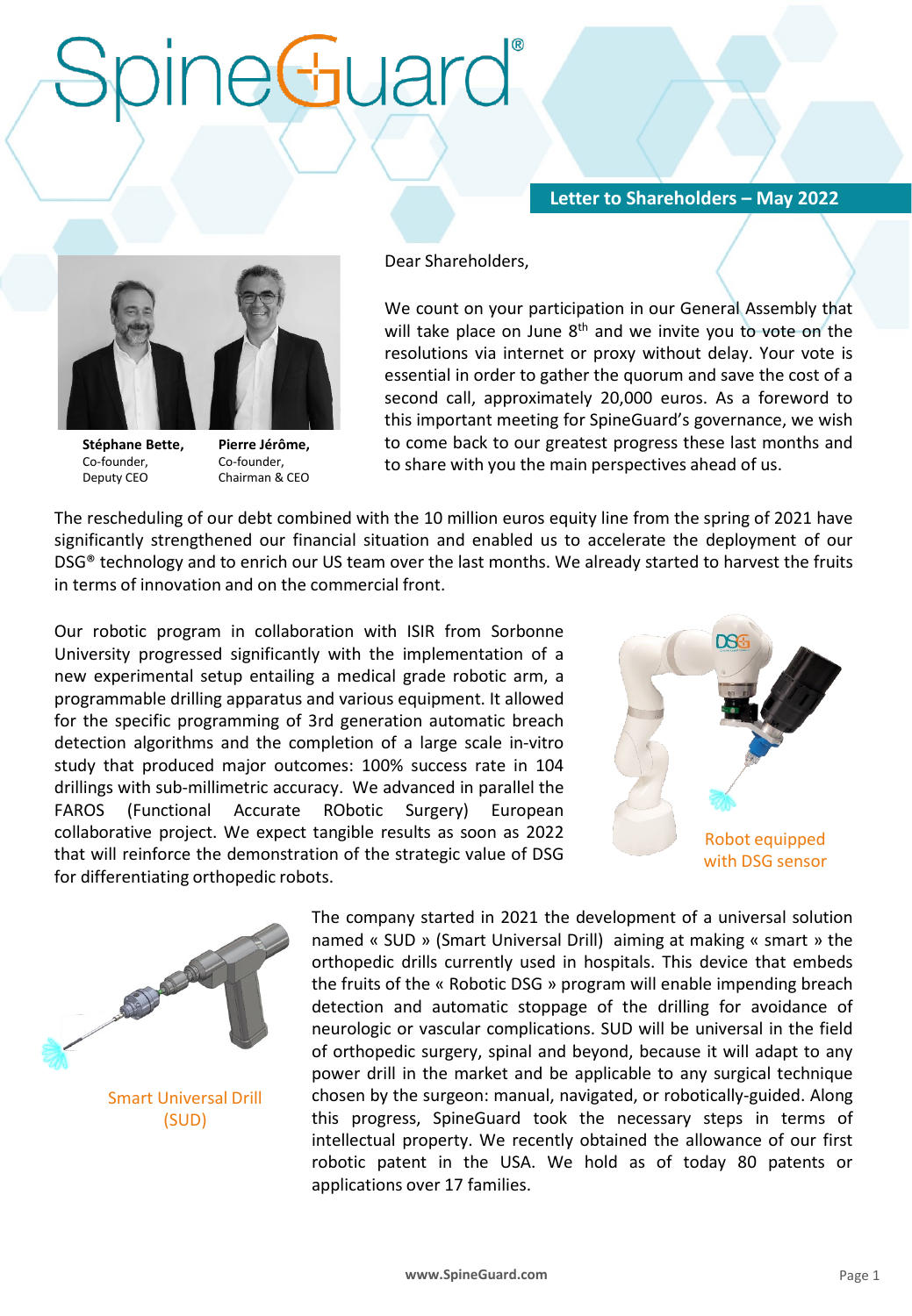## **RUI**

## **Letter to Shareholders – May 2022**



**Stéphane Bette,**  Co-founder, Deputy CEO

**Pierre Jérôme,**  Co-founder, Chairman & CEO Dear Shareholders,

We count on your participation in our General Assembly that will take place on June 8<sup>th</sup> and we invite you to vote on the resolutions via internet or proxy without delay. Your vote is essential in order to gather the quorum and save the cost of a second call, approximately 20,000 euros. As a foreword to this important meeting for SpineGuard's governance, we wish to come back to our greatest progress these last months and to share with you the main perspectives ahead of us.

The rescheduling of our debt combined with the 10 million euros equity line from the spring of 2021 have significantly strengthened our financial situation and enabled us to accelerate the deployment of our DSG® technology and to enrich our US team over the last months. We already started to harvest the fruits in terms of innovation and on the commercial front.

Our robotic program in collaboration with ISIR from Sorbonne University progressed significantly with the implementation of a new experimental setup entailing a medical grade robotic arm, a programmable drilling apparatus and various equipment. It allowed for the specific programming of 3rd generation automatic breach detection algorithms and the completion of a large scale in-vitro study that produced major outcomes: 100% success rate in 104 drillings with sub-millimetric accuracy. We advanced in parallel the FAROS (Functional Accurate RObotic Surgery) European collaborative project. We expect tangible results as soon as 2022 that will reinforce the demonstration of the strategic value of DSG for differentiating orthopedic robots.





Smart Universal Drill (SUD)

The company started in 2021 the development of a universal solution named « SUD » (Smart Universal Drill) aiming at making « smart » the orthopedic drills currently used in hospitals. This device that embeds the fruits of the « Robotic DSG » program will enable impending breach detection and automatic stoppage of the drilling for avoidance of neurologic or vascular complications. SUD will be universal in the field of orthopedic surgery, spinal and beyond, because it will adapt to any power drill in the market and be applicable to any surgical technique chosen by the surgeon: manual, navigated, or robotically-guided. Along this progress, SpineGuard took the necessary steps in terms of intellectual property. We recently obtained the allowance of our first robotic patent in the USA. We hold as of today 80 patents or applications over 17 families.